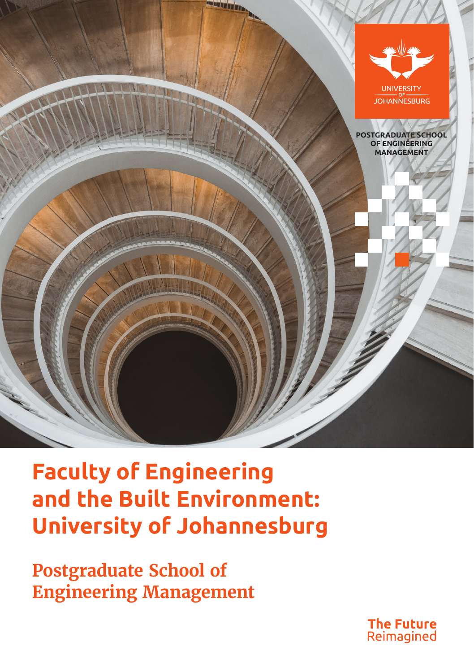

# **Faculty of Engineering and the Built Environment: University of Johannesburg**

**Postgraduate School of Engineering Management**

> **The Future** Reimagined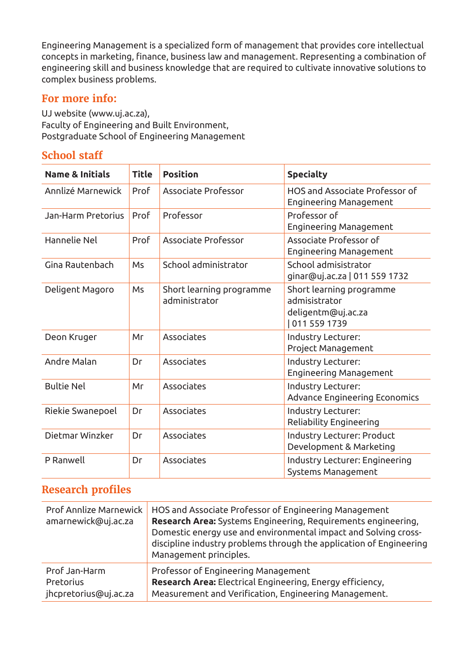Engineering Management is a specialized form of management that provides core intellectual concepts in marketing, finance, business law and management. Representing a combination of engineering skill and business knowledge that are required to cultivate innovative solutions to complex business problems.

## **For more info:**

UJ website (www.uj.ac.za), Faculty of Engineering and Built Environment, Postgraduate School of Engineering Management

# **School staff**

| <b>Name &amp; Initials</b> | <b>Title</b> | <b>Position</b>                           | <b>Specialty</b>                                                                |  |
|----------------------------|--------------|-------------------------------------------|---------------------------------------------------------------------------------|--|
| Annlizé Marnewick          | Prof         | Associate Professor                       | HOS and Associate Professor of<br>Engineering Management                        |  |
| Jan-Harm Pretorius         | Prof         | Professor                                 | Professor of<br>Engineering Management                                          |  |
| Hannelie Nel               | Prof         | Associate Professor                       | Associate Professor of<br>Engineering Management                                |  |
| Gina Rautenbach            | Ms           | School administrator                      | School admisistrator<br>ginar@uj.ac.za   011 559 1732                           |  |
| Deligent Magoro            | Ms           | Short learning programme<br>administrator | Short learning programme<br>admisistrator<br>deligentm@uj.ac.za<br>011 559 1739 |  |
| Deon Kruger                | Mг           | Associates                                | Industry Lecturer:<br>Project Management                                        |  |
| Andre Malan                | Dг           | Associates                                | Industry Lecturer:<br>Engineering Management                                    |  |
| <b>Bultie Nel</b>          | Мr           | Associates                                | Industry Lecturer:<br><b>Advance Engineering Economics</b>                      |  |
| Riekie Swanepoel           | Dr           | Associates                                | Industry Lecturer:<br>Reliability Engineering                                   |  |
| Dietmar Winzker            | Dr           | Associates                                | Industry Lecturer: Product<br>Development & Marketing                           |  |
| P Ranwell                  | Dr           | Associates                                | Industry Lecturer: Engineering<br>Systems Management                            |  |

# **Research profiles**

| Prof Annlize Marnewick<br>amarnewick@uj.ac.za | HOS and Associate Professor of Engineering Management<br><b>Research Area:</b> Systems Engineering, Requirements engineering,<br>Domestic energy use and environmental impact and Solving cross-<br>discipline industry problems through the application of Engineering<br>Management principles. |
|-----------------------------------------------|---------------------------------------------------------------------------------------------------------------------------------------------------------------------------------------------------------------------------------------------------------------------------------------------------|
| Prof Jan-Harm                                 | Professor of Engineering Management                                                                                                                                                                                                                                                               |
| Pretorius                                     | Research Area: Electrical Engineering, Energy efficiency,                                                                                                                                                                                                                                         |
| jhcpretorius@uj.ac.za                         | Measurement and Verification, Engineering Management.                                                                                                                                                                                                                                             |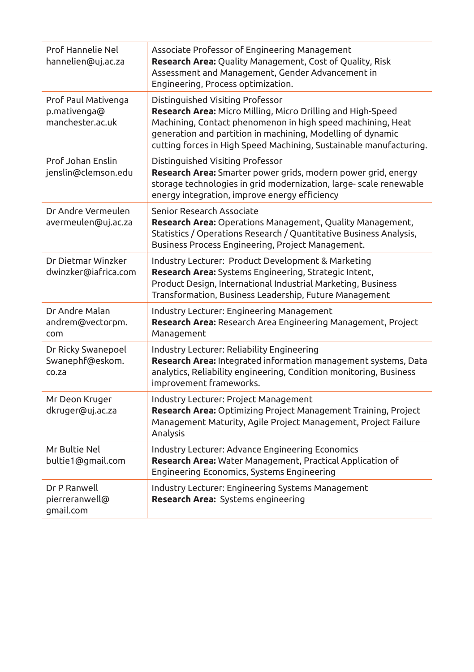| Prof Hannelie Nel<br>hannelien@uj.ac.za                 | Associate Professor of Engineering Management<br><b>Research Area:</b> Quality Management, Cost of Quality, Risk<br>Assessment and Management, Gender Advancement in<br>Engineering, Process optimization.                                                                                                 |
|---------------------------------------------------------|------------------------------------------------------------------------------------------------------------------------------------------------------------------------------------------------------------------------------------------------------------------------------------------------------------|
| Prof Paul Mativenga<br>p.mativenga@<br>manchester.ac.uk | Distinguished Visiting Professor<br><b>Research Area:</b> Micro Milling, Micro Drilling and High-Speed<br>Machining, Contact phenomenon in high speed machining, Heat<br>generation and partition in machining, Modelling of dynamic<br>cutting forces in High Speed Machining, Sustainable manufacturing. |
| Prof Johan Enslin<br>jenslin@clemson.edu                | Distinguished Visiting Professor<br>Research Area: Smarter power grids, modern power grid, energy<br>storage technologies in grid modernization, large- scale renewable<br>energy integration, improve energy efficiency                                                                                   |
| Dr Andre Vermeulen<br>avermeulen@uj.ac.za               | Senior Research Associate<br>Research Area: Operations Management, Quality Management,<br>Statistics / Operations Research / Quantitative Business Analysis,<br>Business Process Engineering, Project Management.                                                                                          |
| Dr Dietmar Winzker<br>dwinzker@iafrica.com              | Industry Lecturer: Product Development & Marketing<br>Research Area: Systems Engineering, Strategic Intent,<br>Product Design, International Industrial Marketing, Business<br>Transformation, Business Leadership, Future Management                                                                      |
| Dr Andre Malan<br>andrem@vectorpm.<br>com               | Industry Lecturer: Engineering Management<br>Research Area: Research Area Engineering Management, Project<br>Management                                                                                                                                                                                    |
| Dr Ricky Swanepoel<br>Swanephf@eskom.<br>co.za          | Industry Lecturer: Reliability Engineering<br>Research Area: Integrated information management systems, Data<br>analytics, Reliability engineering, Condition monitoring, Business<br>improvement frameworks.                                                                                              |
| Mr Deon Kruger<br>dkruger@uj.ac.za                      | Industry Lecturer: Project Management<br>Research Area: Optimizing Project Management Training, Project<br>Management Maturity, Agile Project Management, Project Failure<br>Analysis                                                                                                                      |
| Mr Bultie Nel<br>bultie1@gmail.com                      | Industry Lecturer: Advance Engineering Economics<br>Research Area: Water Management, Practical Application of<br>Engineering Economics, Systems Engineering                                                                                                                                                |
| Dr P Ranwell<br>pierreranwell@<br>qmail.com             | Industry Lecturer: Engineering Systems Management<br><b>Research Area:</b> Systems engineering                                                                                                                                                                                                             |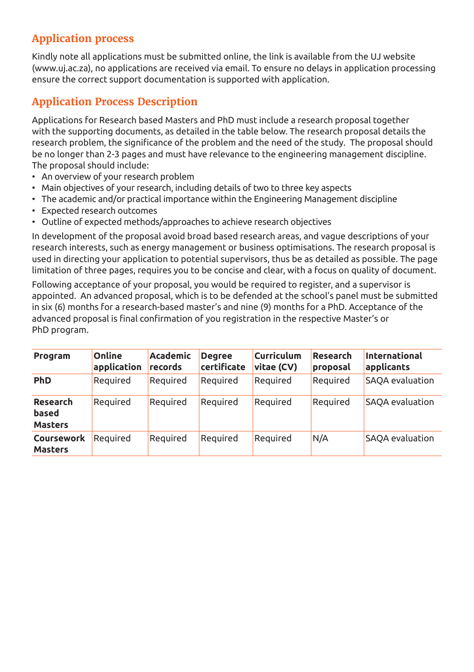# **Application process**

Kindly note all applications must be submitted online, the link is available from the UJ website (www.uj.ac.za), no applications are received via email. To ensure no delays in application processing ensure the correct support documentation is supported with application.

# **Application Process Description**

Applications for Research based Masters and PhD must include a research proposal together with the supporting documents, as detailed in the table below. The research proposal details the research problem, the significance of the problem and the need of the study. The proposal should be no longer than 2-3 pages and must have relevance to the engineering management discipline. The proposal should include:

- An overview of your research problem
- Main objectives of your research, including details of two to three key aspects
- The academic and/or practical importance within the Engineering Management discipline
- Expected research outcomes
- Outline of expected methods/approaches to achieve research objectives

In development of the proposal avoid broad based research areas, and vague descriptions of your research interests, such as energy management or business optimisations. The research proposal is used in directing your application to potential supervisors, thus be as detailed as possible. The page limitation of three pages, requires you to be concise and clear, with a focus on quality of document.

Following acceptance of your proposal, you would be required to register, and a supervisor is appointed. An advanced proposal, which is to be defended at the school's panel must be submitted in six (6) months for a research-based master's and nine (9) months for a PhD. Acceptance of the advanced proposal is final confirmation of you registration in the respective Master's or PhD program.

| Program                             | Online<br>application | <b>Academic</b><br>records | <b>Degree</b><br>certificate | <b>Curriculum</b><br>vitae (CV) | Research<br>proposal | <b>International</b><br>applicants |
|-------------------------------------|-----------------------|----------------------------|------------------------------|---------------------------------|----------------------|------------------------------------|
| <b>PhD</b>                          | Required              | Required                   | Required                     | Reauired                        | Required             | SAQA evaluation                    |
| Research<br>based<br><b>Masters</b> | Reauired              | Reauired                   | Reguired                     | Reauired                        | Required             | SAOA evaluation                    |
| Coursework<br><b>Masters</b>        | Reauired              | Reauired                   | Reguired                     | Required                        | N/A                  | SAQA evaluation                    |